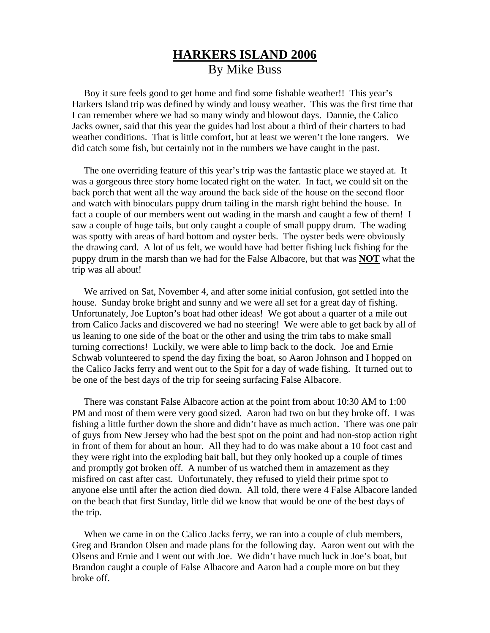## **HARKERS ISLAND 2006** By Mike Buss

 Boy it sure feels good to get home and find some fishable weather!! This year's Harkers Island trip was defined by windy and lousy weather. This was the first time that I can remember where we had so many windy and blowout days. Dannie, the Calico Jacks owner, said that this year the guides had lost about a third of their charters to bad weather conditions. That is little comfort, but at least we weren't the lone rangers. We did catch some fish, but certainly not in the numbers we have caught in the past.

 The one overriding feature of this year's trip was the fantastic place we stayed at. It was a gorgeous three story home located right on the water. In fact, we could sit on the back porch that went all the way around the back side of the house on the second floor and watch with binoculars puppy drum tailing in the marsh right behind the house. In fact a couple of our members went out wading in the marsh and caught a few of them! I saw a couple of huge tails, but only caught a couple of small puppy drum. The wading was spotty with areas of hard bottom and oyster beds. The oyster beds were obviously the drawing card. A lot of us felt, we would have had better fishing luck fishing for the puppy drum in the marsh than we had for the False Albacore, but that was **NOT** what the trip was all about!

 We arrived on Sat, November 4, and after some initial confusion, got settled into the house. Sunday broke bright and sunny and we were all set for a great day of fishing. Unfortunately, Joe Lupton's boat had other ideas! We got about a quarter of a mile out from Calico Jacks and discovered we had no steering! We were able to get back by all of us leaning to one side of the boat or the other and using the trim tabs to make small turning corrections! Luckily, we were able to limp back to the dock. Joe and Ernie Schwab volunteered to spend the day fixing the boat, so Aaron Johnson and I hopped on the Calico Jacks ferry and went out to the Spit for a day of wade fishing. It turned out to be one of the best days of the trip for seeing surfacing False Albacore.

 There was constant False Albacore action at the point from about 10:30 AM to 1:00 PM and most of them were very good sized. Aaron had two on but they broke off. I was fishing a little further down the shore and didn't have as much action. There was one pair of guys from New Jersey who had the best spot on the point and had non-stop action right in front of them for about an hour. All they had to do was make about a 10 foot cast and they were right into the exploding bait ball, but they only hooked up a couple of times and promptly got broken off. A number of us watched them in amazement as they misfired on cast after cast. Unfortunately, they refused to yield their prime spot to anyone else until after the action died down. All told, there were 4 False Albacore landed on the beach that first Sunday, little did we know that would be one of the best days of the trip.

 When we came in on the Calico Jacks ferry, we ran into a couple of club members, Greg and Brandon Olsen and made plans for the following day. Aaron went out with the Olsens and Ernie and I went out with Joe. We didn't have much luck in Joe's boat, but Brandon caught a couple of False Albacore and Aaron had a couple more on but they broke off.